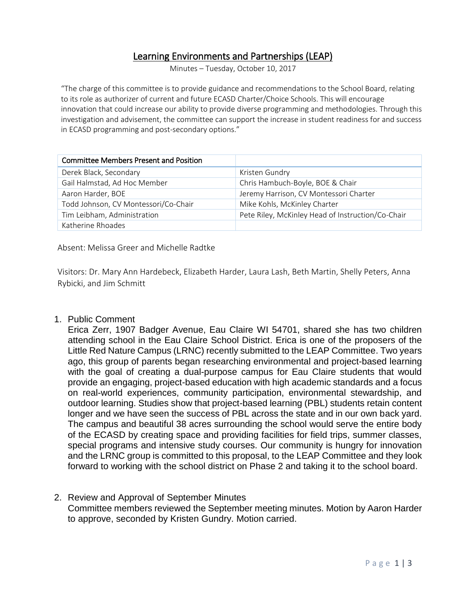## Learning Environments and Partnerships (LEAP)

Minutes – Tuesday, October 10, 2017

"The charge of this committee is to provide guidance and recommendations to the School Board, relating to its role as authorizer of current and future ECASD Charter/Choice Schools. This will encourage innovation that could increase our ability to provide diverse programming and methodologies. Through this investigation and advisement, the committee can support the increase in student readiness for and success in ECASD programming and post-secondary options."

| <b>Committee Members Present and Position</b> |                                                   |
|-----------------------------------------------|---------------------------------------------------|
| Derek Black, Secondary                        | Kristen Gundry                                    |
| Gail Halmstad, Ad Hoc Member                  | Chris Hambuch-Boyle, BOE & Chair                  |
| Aaron Harder, BOE                             | Jeremy Harrison, CV Montessori Charter            |
| Todd Johnson, CV Montessori/Co-Chair          | Mike Kohls, McKinley Charter                      |
| Tim Leibham, Administration                   | Pete Riley, McKinley Head of Instruction/Co-Chair |
| Katherine Rhoades                             |                                                   |

Absent: Melissa Greer and Michelle Radtke

Visitors: Dr. Mary Ann Hardebeck, Elizabeth Harder, Laura Lash, Beth Martin, Shelly Peters, Anna Rybicki, and Jim Schmitt

1. Public Comment

Erica Zerr, 1907 Badger Avenue, Eau Claire WI 54701, shared she has two children attending school in the Eau Claire School District. Erica is one of the proposers of the Little Red Nature Campus (LRNC) recently submitted to the LEAP Committee. Two years ago, this group of parents began researching environmental and project-based learning with the goal of creating a dual-purpose campus for Eau Claire students that would provide an engaging, project-based education with high academic standards and a focus on real-world experiences, community participation, environmental stewardship, and outdoor learning. Studies show that project-based learning (PBL) students retain content longer and we have seen the success of PBL across the state and in our own back yard. The campus and beautiful 38 acres surrounding the school would serve the entire body of the ECASD by creating space and providing facilities for field trips, summer classes, special programs and intensive study courses. Our community is hungry for innovation and the LRNC group is committed to this proposal, to the LEAP Committee and they look forward to working with the school district on Phase 2 and taking it to the school board.

2. Review and Approval of September Minutes Committee members reviewed the September meeting minutes. Motion by Aaron Harder to approve, seconded by Kristen Gundry. Motion carried.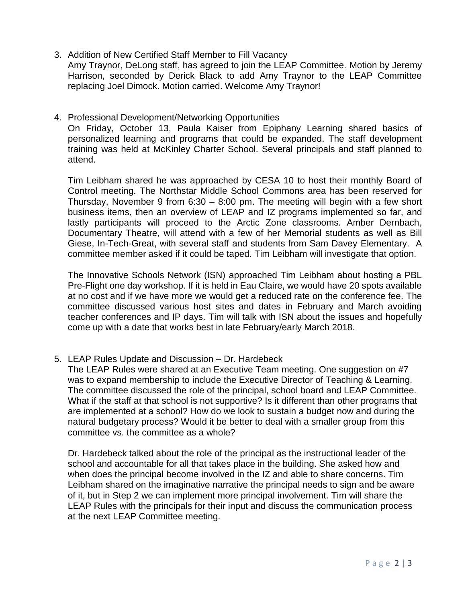3. Addition of New Certified Staff Member to Fill Vacancy

Amy Traynor, DeLong staff, has agreed to join the LEAP Committee. Motion by Jeremy Harrison, seconded by Derick Black to add Amy Traynor to the LEAP Committee replacing Joel Dimock. Motion carried. Welcome Amy Traynor!

## 4. Professional Development/Networking Opportunities

On Friday, October 13, Paula Kaiser from Epiphany Learning shared basics of personalized learning and programs that could be expanded. The staff development training was held at McKinley Charter School. Several principals and staff planned to attend.

Tim Leibham shared he was approached by CESA 10 to host their monthly Board of Control meeting. The Northstar Middle School Commons area has been reserved for Thursday, November 9 from 6:30 – 8:00 pm. The meeting will begin with a few short business items, then an overview of LEAP and IZ programs implemented so far, and lastly participants will proceed to the Arctic Zone classrooms. Amber Dernbach, Documentary Theatre, will attend with a few of her Memorial students as well as Bill Giese, In-Tech-Great, with several staff and students from Sam Davey Elementary. A committee member asked if it could be taped. Tim Leibham will investigate that option.

The Innovative Schools Network (ISN) approached Tim Leibham about hosting a PBL Pre-Flight one day workshop. If it is held in Eau Claire, we would have 20 spots available at no cost and if we have more we would get a reduced rate on the conference fee. The committee discussed various host sites and dates in February and March avoiding teacher conferences and IP days. Tim will talk with ISN about the issues and hopefully come up with a date that works best in late February/early March 2018.

5. LEAP Rules Update and Discussion – Dr. Hardebeck

The LEAP Rules were shared at an Executive Team meeting. One suggestion on #7 was to expand membership to include the Executive Director of Teaching & Learning. The committee discussed the role of the principal, school board and LEAP Committee. What if the staff at that school is not supportive? Is it different than other programs that are implemented at a school? How do we look to sustain a budget now and during the natural budgetary process? Would it be better to deal with a smaller group from this committee vs. the committee as a whole?

Dr. Hardebeck talked about the role of the principal as the instructional leader of the school and accountable for all that takes place in the building. She asked how and when does the principal become involved in the IZ and able to share concerns. Tim Leibham shared on the imaginative narrative the principal needs to sign and be aware of it, but in Step 2 we can implement more principal involvement. Tim will share the LEAP Rules with the principals for their input and discuss the communication process at the next LEAP Committee meeting.